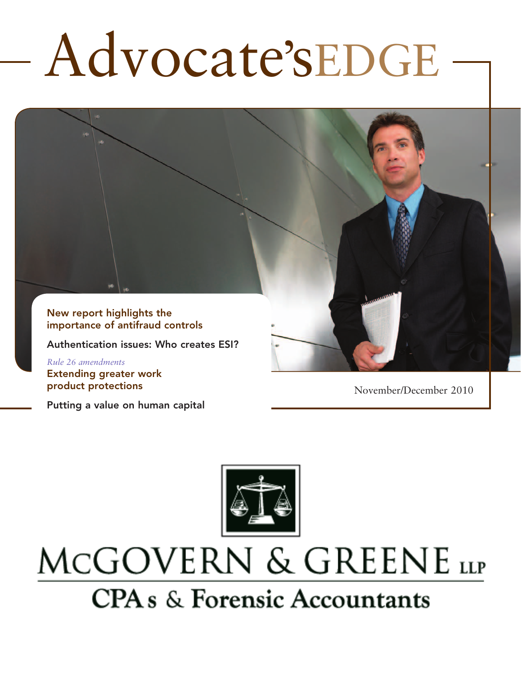# Advocate'sEDGE

New report highlights the importance of antifraud controls

Authentication issues: Who creates ESI?

*Rule 26 amendments*  Extending greater work product protections

Putting a value on human capital

November/December 2010



# MCGOVERN & GREENE LLP **CPA** s & Forensic Accountants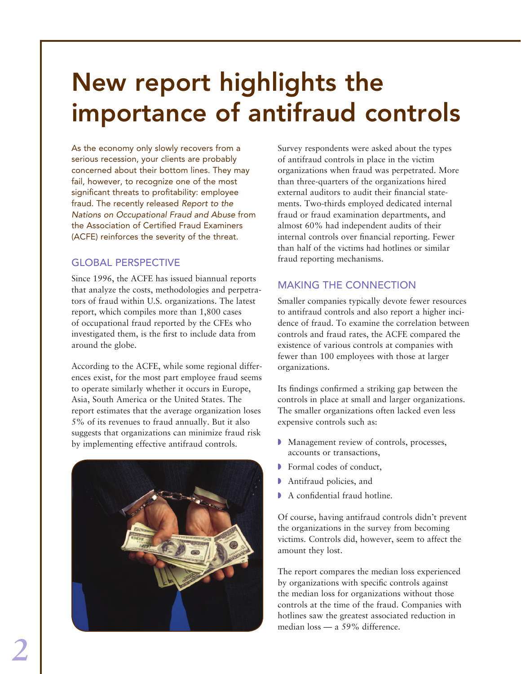# New report highlights the importance of antifraud controls

As the economy only slowly recovers from a serious recession, your clients are probably concerned about their bottom lines. They may fail, however, to recognize one of the most significant threats to profitability: employee fraud. The recently released *Report to the Nations on Occupational Fraud and Abuse* from the Association of Certified Fraud Examiners (ACFE) reinforces the severity of the threat.

# GLOBAL PERSPECTIVE

Since 1996, the ACFE has issued biannual reports that analyze the costs, methodologies and perpetrators of fraud within U.S. organizations. The latest report, which compiles more than 1,800 cases of occupational fraud reported by the CFEs who investigated them, is the first to include data from around the globe.

According to the ACFE, while some regional differences exist, for the most part employee fraud seems to operate similarly whether it occurs in Europe, Asia, South America or the United States. The report estimates that the average organization loses 5% of its revenues to fraud annually. But it also suggests that organizations can minimize fraud risk by implementing effective antifraud controls.



Survey respondents were asked about the types of antifraud controls in place in the victim organizations when fraud was perpetrated. More than three-quarters of the organizations hired external auditors to audit their financial statements. Two-thirds employed dedicated internal fraud or fraud examination departments, and almost 60% had independent audits of their internal controls over financial reporting. Fewer than half of the victims had hotlines or similar fraud reporting mechanisms.

# Making the connection

Smaller companies typically devote fewer resources to antifraud controls and also report a higher incidence of fraud. To examine the correlation between controls and fraud rates, the ACFE compared the existence of various controls at companies with fewer than 100 employees with those at larger organizations.

Its findings confirmed a striking gap between the controls in place at small and larger organizations. The smaller organizations often lacked even less expensive controls such as:

- Management review of controls, processes, accounts or transactions,
- **Formal codes of conduct,**
- **Antifraud policies, and**
- $\blacktriangleright$  A confidential fraud hotline.

Of course, having antifraud controls didn't prevent the organizations in the survey from becoming victims. Controls did, however, seem to affect the amount they lost.

The report compares the median loss experienced by organizations with specific controls against the median loss for organizations without those controls at the time of the fraud. Companies with hotlines saw the greatest associated reduction in median loss — a 59% difference.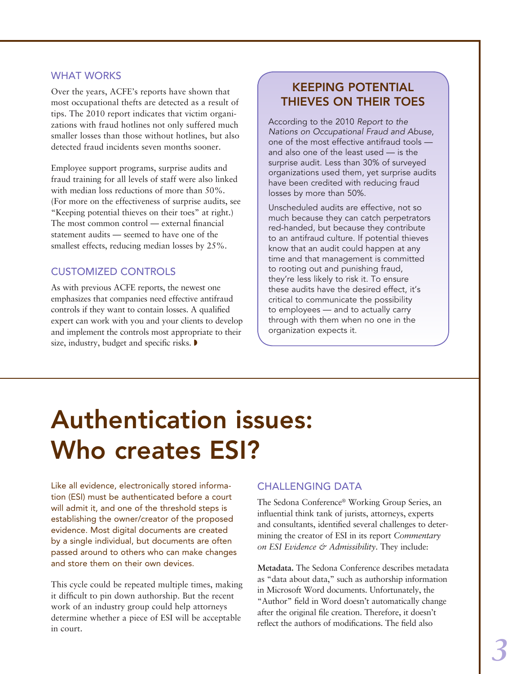#### **WHAT WORKS**

Over the years, ACFE's reports have shown that most occupational thefts are detected as a result of tips. The 2010 report indicates that victim organizations with fraud hotlines not only suffered much smaller losses than those without hotlines, but also detected fraud incidents seven months sooner.

Employee support programs, surprise audits and fraud training for all levels of staff were also linked with median loss reductions of more than 50%. (For more on the effectiveness of surprise audits, see "Keeping potential thieves on their toes" at right.) The most common control — external financial statement audits — seemed to have one of the smallest effects, reducing median losses by 25%.

## Customized controls

As with previous ACFE reports, the newest one emphasizes that companies need effective antifraud controls if they want to contain losses. A qualified expert can work with you and your clients to develop and implement the controls most appropriate to their size, industry, budget and specific risks.  $\blacktriangleright$ 

# Keeping potential thieves on their toes

According to the 2010 *Report to the Nations on Occupational Fraud and Abuse*, one of the most effective antifraud tools and also one of the least used — is the surprise audit. Less than 30% of surveyed organizations used them, yet surprise audits have been credited with reducing fraud losses by more than 50%.

Unscheduled audits are effective, not so much because they can catch perpetrators red-handed, but because they contribute to an antifraud culture. If potential thieves know that an audit could happen at any time and that management is committed to rooting out and punishing fraud, they're less likely to risk it. To ensure these audits have the desired effect, it's critical to communicate the possibility to employees — and to actually carry through with them when no one in the organization expects it.

# Authentication issues: Who creates ESI?

Like all evidence, electronically stored information (ESI) must be authenticated before a court will admit it, and one of the threshold steps is establishing the owner/creator of the proposed evidence. Most digital documents are created by a single individual, but documents are often passed around to others who can make changes and store them on their own devices.

This cycle could be repeated multiple times, making it difficult to pin down authorship. But the recent work of an industry group could help attorneys determine whether a piece of ESI will be acceptable in court.

### **CHALLENGING DATA**

The Sedona Conference® Working Group Series, an influential think tank of jurists, attorneys, experts and consultants, identified several challenges to determining the creator of ESI in its report *Commentary on ESI Evidence & Admissibility*. They include:

**Metadata.** The Sedona Conference describes metadata as "data about data," such as authorship information in Microsoft Word documents. Unfortunately, the "Author" field in Word doesn't automatically change after the original file creation. Therefore, it doesn't reflect the authors of modifications. The field also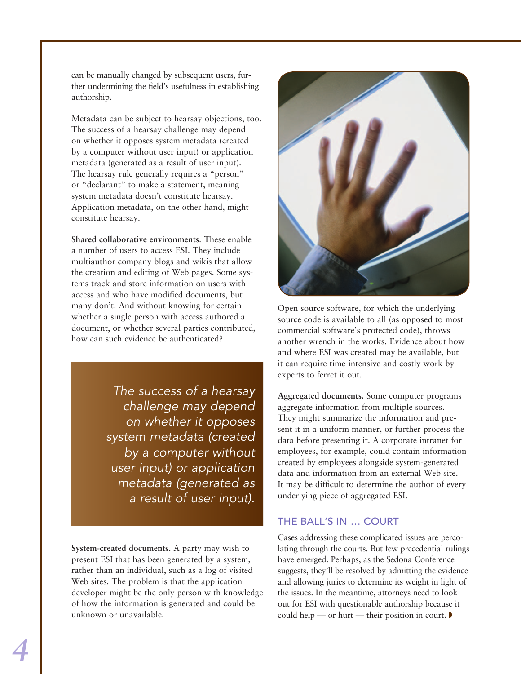can be manually changed by subsequent users, further undermining the field's usefulness in establishing authorship.

Metadata can be subject to hearsay objections, too. The success of a hearsay challenge may depend on whether it opposes system metadata (created by a computer without user input) or application metadata (generated as a result of user input). The hearsay rule generally requires a "person" or "declarant" to make a statement, meaning system metadata doesn't constitute hearsay. Application metadata, on the other hand, might constitute hearsay.

**Shared collaborative environments**. These enable a number of users to access ESI. They include multiauthor company blogs and wikis that allow the creation and editing of Web pages. Some systems track and store information on users with access and who have modified documents, but many don't. And without knowing for certain whether a single person with access authored a document, or whether several parties contributed, how can such evidence be authenticated?

> *The success of a hearsay challenge may depend on whether it opposes system metadata (created by a computer without user input) or application metadata (generated as a result of user input).*

**System-created documents.** A party may wish to present ESI that has been generated by a system, rather than an individual, such as a log of visited Web sites. The problem is that the application developer might be the only person with knowledge of how the information is generated and could be unknown or unavailable.



Open source software, for which the underlying source code is available to all (as opposed to most commercial software's protected code), throws another wrench in the works. Evidence about how and where ESI was created may be available, but it can require time-intensive and costly work by experts to ferret it out.

**Aggregated documents.** Some computer programs aggregate information from multiple sources. They might summarize the information and present it in a uniform manner, or further process the data before presenting it. A corporate intranet for employees, for example, could contain information created by employees alongside system-generated data and information from an external Web site. It may be difficult to determine the author of every underlying piece of aggregated ESI.

# The ball's in … court

Cases addressing these complicated issues are percolating through the courts. But few precedential rulings have emerged. Perhaps, as the Sedona Conference suggests, they'll be resolved by admitting the evidence and allowing juries to determine its weight in light of the issues. In the meantime, attorneys need to look out for ESI with questionable authorship because it could help — or hurt — their position in court.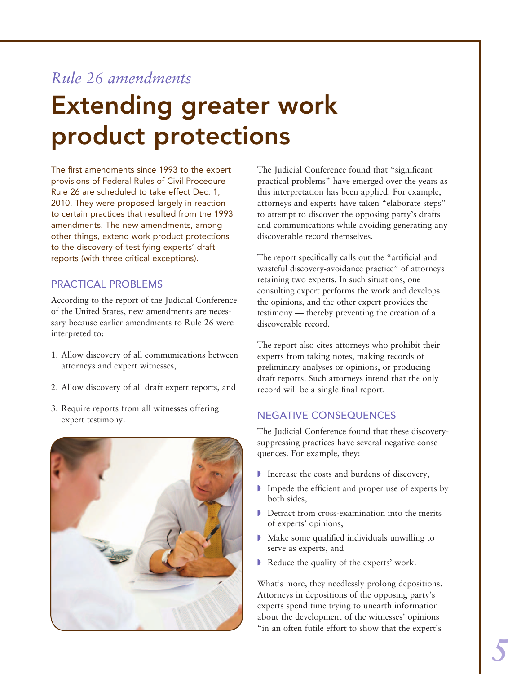# *Rule 26 amendments*

# Extending greater work product protections

The first amendments since 1993 to the expert provisions of Federal Rules of Civil Procedure Rule 26 are scheduled to take effect Dec. 1, 2010. They were proposed largely in reaction to certain practices that resulted from the 1993 amendments. The new amendments, among other things, extend work product protections to the discovery of testifying experts' draft reports (with three critical exceptions).

# Practical problems

According to the report of the Judicial Conference of the United States, new amendments are necessary because earlier amendments to Rule 26 were interpreted to:

- 1. Allow discovery of all communications between attorneys and expert witnesses,
- 2. Allow discovery of all draft expert reports, and
- 3. Require reports from all witnesses offering expert testimony.



The Judicial Conference found that "significant practical problems" have emerged over the years as this interpretation has been applied. For example, attorneys and experts have taken "elaborate steps" to attempt to discover the opposing party's drafts and communications while avoiding generating any discoverable record themselves.

The report specifically calls out the "artificial and wasteful discovery-avoidance practice" of attorneys retaining two experts. In such situations, one consulting expert performs the work and develops the opinions, and the other expert provides the testimony — thereby preventing the creation of a discoverable record.

The report also cites attorneys who prohibit their experts from taking notes, making records of preliminary analyses or opinions, or producing draft reports. Such attorneys intend that the only record will be a single final report.

# Negative consequences

The Judicial Conference found that these discoverysuppressing practices have several negative consequences. For example, they:

- $\blacksquare$  Increase the costs and burdens of discovery,
- $\blacksquare$  Impede the efficient and proper use of experts by both sides,
- $\triangleright$  Detract from cross-examination into the merits of experts' opinions,
- $\blacktriangleright$  Make some qualified individuals unwilling to serve as experts, and
- Reduce the quality of the experts' work.

What's more, they needlessly prolong depositions. Attorneys in depositions of the opposing party's experts spend time trying to unearth information about the development of the witnesses' opinions "in an often futile effort to show that the expert's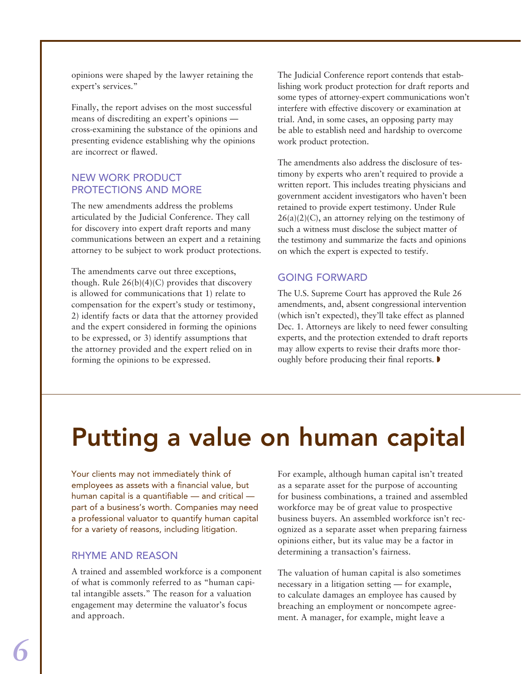opinions were shaped by the lawyer retaining the expert's services."

Finally, the report advises on the most successful means of discrediting an expert's opinions cross-examining the substance of the opinions and presenting evidence establishing why the opinions are incorrect or flawed.

## New work product protections and more

The new amendments address the problems articulated by the Judicial Conference. They call for discovery into expert draft reports and many communications between an expert and a retaining attorney to be subject to work product protections.

The amendments carve out three exceptions, though. Rule  $26(b)(4)(C)$  provides that discovery is allowed for communications that 1) relate to compensation for the expert's study or testimony, 2) identify facts or data that the attorney provided and the expert considered in forming the opinions to be expressed, or 3) identify assumptions that the attorney provided and the expert relied on in forming the opinions to be expressed.

The Judicial Conference report contends that establishing work product protection for draft reports and some types of attorney-expert communications won't interfere with effective discovery or examination at trial. And, in some cases, an opposing party may be able to establish need and hardship to overcome work product protection.

The amendments also address the disclosure of testimony by experts who aren't required to provide a written report. This includes treating physicians and government accident investigators who haven't been retained to provide expert testimony. Under Rule  $26(a)(2)(C)$ , an attorney relying on the testimony of such a witness must disclose the subject matter of the testimony and summarize the facts and opinions on which the expert is expected to testify.

# Going forward

The U.S. Supreme Court has approved the Rule 26 amendments, and, absent congressional intervention (which isn't expected), they'll take effect as planned Dec. 1. Attorneys are likely to need fewer consulting experts, and the protection extended to draft reports may allow experts to revise their drafts more thoroughly before producing their final reports.  $\blacktriangleright$ 

# Putting a value on human capital

Your clients may not immediately think of employees as assets with a financial value, but human capital is a quantifiable — and critical part of a business's worth. Companies may need a professional valuator to quantify human capital for a variety of reasons, including litigation.

### Rhyme and reason

A trained and assembled workforce is a component of what is commonly referred to as "human capital intangible assets." The reason for a valuation engagement may determine the valuator's focus and approach.

For example, although human capital isn't treated as a separate asset for the purpose of accounting for business combinations, a trained and assembled workforce may be of great value to prospective business buyers. An assembled workforce isn't recognized as a separate asset when preparing fairness opinions either, but its value may be a factor in determining a transaction's fairness.

The valuation of human capital is also sometimes necessary in a litigation setting — for example, to calculate damages an employee has caused by breaching an employment or noncompete agreement. A manager, for example, might leave a